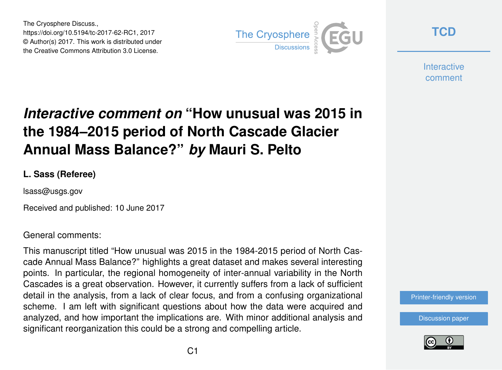The Cryosphere Discuss., https://doi.org/10.5194/tc-2017-62-RC1, 2017 © Author(s) 2017. This work is distributed under the Creative Commons Attribution 3.0 License.



**[TCD](http://www.the-cryosphere-discuss.net/)**

**Interactive** comment

## *Interactive comment on* **"How unusual was 2015 in the 1984–2015 period of North Cascade Glacier Annual Mass Balance?"** *by* **Mauri S. Pelto**

## **L. Sass (Referee)**

lsass@usgs.gov

Received and published: 10 June 2017

## General comments:

This manuscript titled "How unusual was 2015 in the 1984-2015 period of North Cascade Annual Mass Balance?" highlights a great dataset and makes several interesting points. In particular, the regional homogeneity of inter-annual variability in the North Cascades is a great observation. However, it currently suffers from a lack of sufficient detail in the analysis, from a lack of clear focus, and from a confusing organizational scheme. I am left with significant questions about how the data were acquired and analyzed, and how important the implications are. With minor additional analysis and significant reorganization this could be a strong and compelling article.

[Printer-friendly version](http://www.the-cryosphere-discuss.net/tc-2017-62/tc-2017-62-RC1-print.pdf)

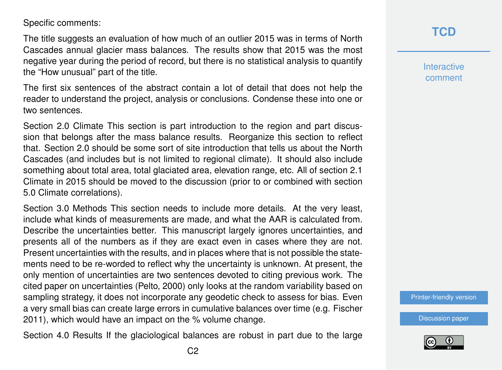Specific comments:

The title suggests an evaluation of how much of an outlier 2015 was in terms of North Cascades annual glacier mass balances. The results show that 2015 was the most negative year during the period of record, but there is no statistical analysis to quantify the "How unusual" part of the title.

The first six sentences of the abstract contain a lot of detail that does not help the reader to understand the project, analysis or conclusions. Condense these into one or two sentences.

Section 2.0 Climate This section is part introduction to the region and part discussion that belongs after the mass balance results. Reorganize this section to reflect that. Section 2.0 should be some sort of site introduction that tells us about the North Cascades (and includes but is not limited to regional climate). It should also include something about total area, total glaciated area, elevation range, etc. All of section 2.1 Climate in 2015 should be moved to the discussion (prior to or combined with section 5.0 Climate correlations).

Section 3.0 Methods This section needs to include more details. At the very least, include what kinds of measurements are made, and what the AAR is calculated from. Describe the uncertainties better. This manuscript largely ignores uncertainties, and presents all of the numbers as if they are exact even in cases where they are not. Present uncertainties with the results, and in places where that is not possible the statements need to be re-worded to reflect why the uncertainty is unknown. At present, the only mention of uncertainties are two sentences devoted to citing previous work. The cited paper on uncertainties (Pelto, 2000) only looks at the random variability based on sampling strategy, it does not incorporate any geodetic check to assess for bias. Even a very small bias can create large errors in cumulative balances over time (e.g. Fischer 2011), which would have an impact on the % volume change.

Section 4.0 Results If the glaciological balances are robust in part due to the large

**Interactive** comment

[Printer-friendly version](http://www.the-cryosphere-discuss.net/tc-2017-62/tc-2017-62-RC1-print.pdf)

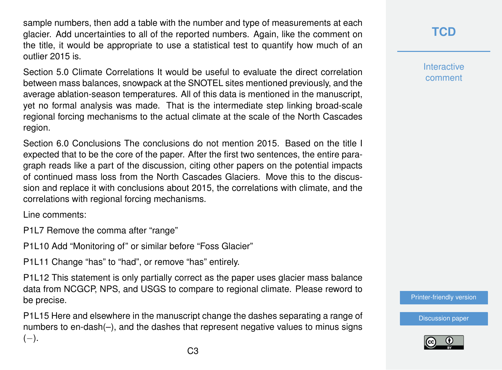sample numbers, then add a table with the number and type of measurements at each glacier. Add uncertainties to all of the reported numbers. Again, like the comment on the title, it would be appropriate to use a statistical test to quantify how much of an outlier 2015 is.

Section 5.0 Climate Correlations It would be useful to evaluate the direct correlation between mass balances, snowpack at the SNOTEL sites mentioned previously, and the average ablation-season temperatures. All of this data is mentioned in the manuscript, yet no formal analysis was made. That is the intermediate step linking broad-scale regional forcing mechanisms to the actual climate at the scale of the North Cascades region.

Section 6.0 Conclusions The conclusions do not mention 2015. Based on the title I expected that to be the core of the paper. After the first two sentences, the entire paragraph reads like a part of the discussion, citing other papers on the potential impacts of continued mass loss from the North Cascades Glaciers. Move this to the discussion and replace it with conclusions about 2015, the correlations with climate, and the correlations with regional forcing mechanisms.

Line comments:

P1L7 Remove the comma after "range"

P1L10 Add "Monitoring of" or similar before "Foss Glacier"

P1L11 Change "has" to "had", or remove "has" entirely.

P1L12 This statement is only partially correct as the paper uses glacier mass balance data from NCGCP, NPS, and USGS to compare to regional climate. Please reword to be precise.

P1L15 Here and elsewhere in the manuscript change the dashes separating a range of numbers to en-dash(–), and the dashes that represent negative values to minus signs  $(-).$ 

**[TCD](http://www.the-cryosphere-discuss.net/)**

**Interactive** comment

[Printer-friendly version](http://www.the-cryosphere-discuss.net/tc-2017-62/tc-2017-62-RC1-print.pdf)

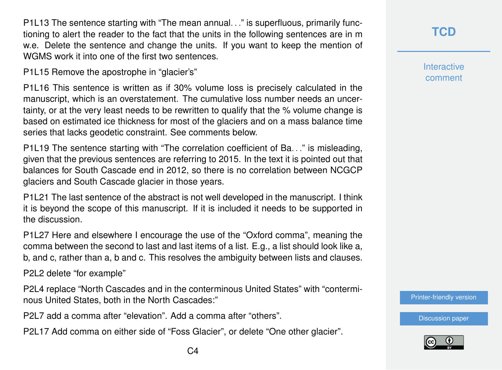P1L13 The sentence starting with "The mean annual. . ." is superfluous, primarily functioning to alert the reader to the fact that the units in the following sentences are in m w.e. Delete the sentence and change the units. If you want to keep the mention of WGMS work it into one of the first two sentences.

P1L15 Remove the apostrophe in "glacier's"

P1L16 This sentence is written as if 30% volume loss is precisely calculated in the manuscript, which is an overstatement. The cumulative loss number needs an uncertainty, or at the very least needs to be rewritten to qualify that the % volume change is based on estimated ice thickness for most of the glaciers and on a mass balance time series that lacks geodetic constraint. See comments below.

P1L19 The sentence starting with "The correlation coefficient of Ba. . ." is misleading, given that the previous sentences are referring to 2015. In the text it is pointed out that balances for South Cascade end in 2012, so there is no correlation between NCGCP glaciers and South Cascade glacier in those years.

P1L21 The last sentence of the abstract is not well developed in the manuscript. I think it is beyond the scope of this manuscript. If it is included it needs to be supported in the discussion.

P1L27 Here and elsewhere I encourage the use of the "Oxford comma", meaning the comma between the second to last and last items of a list. E.g., a list should look like a, b, and c, rather than a, b and c. This resolves the ambiguity between lists and clauses.

P2L2 delete "for example"

P2L4 replace "North Cascades and in the conterminous United States" with "conterminous United States, both in the North Cascades:"

P2L7 add a comma after "elevation". Add a comma after "others".

P2L17 Add comma on either side of "Foss Glacier", or delete "One other glacier".

**Interactive** comment

[Printer-friendly version](http://www.the-cryosphere-discuss.net/tc-2017-62/tc-2017-62-RC1-print.pdf)

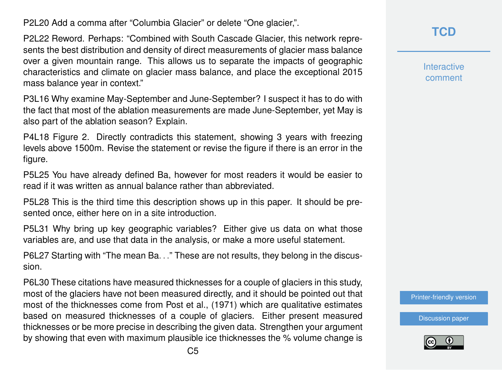P2L20 Add a comma after "Columbia Glacier" or delete "One glacier,".

P2L22 Reword. Perhaps: "Combined with South Cascade Glacier, this network represents the best distribution and density of direct measurements of glacier mass balance over a given mountain range. This allows us to separate the impacts of geographic characteristics and climate on glacier mass balance, and place the exceptional 2015 mass balance year in context."

P3L16 Why examine May-September and June-September? I suspect it has to do with the fact that most of the ablation measurements are made June-September, yet May is also part of the ablation season? Explain.

P4L18 Figure 2. Directly contradicts this statement, showing 3 years with freezing levels above 1500m. Revise the statement or revise the figure if there is an error in the figure.

P5L25 You have already defined Ba, however for most readers it would be easier to read if it was written as annual balance rather than abbreviated.

P5L28 This is the third time this description shows up in this paper. It should be presented once, either here on in a site introduction.

P5L31 Why bring up key geographic variables? Either give us data on what those variables are, and use that data in the analysis, or make a more useful statement.

P6L27 Starting with "The mean Ba. . ." These are not results, they belong in the discussion.

P6L30 These citations have measured thicknesses for a couple of glaciers in this study, most of the glaciers have not been measured directly, and it should be pointed out that most of the thicknesses come from Post et al., (1971) which are qualitative estimates based on measured thicknesses of a couple of glaciers. Either present measured thicknesses or be more precise in describing the given data. Strengthen your argument by showing that even with maximum plausible ice thicknesses the % volume change is **Interactive** comment

[Printer-friendly version](http://www.the-cryosphere-discuss.net/tc-2017-62/tc-2017-62-RC1-print.pdf)

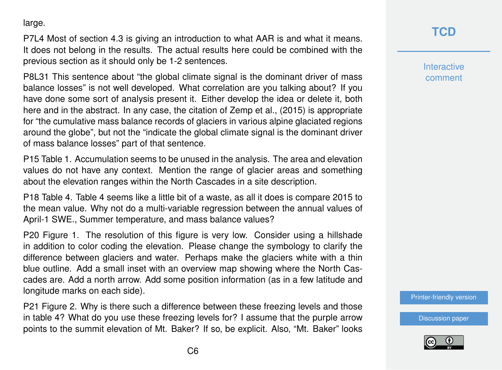large.

P7L4 Most of section 4.3 is giving an introduction to what AAR is and what it means. It does not belong in the results. The actual results here could be combined with the previous section as it should only be 1-2 sentences.

P8L31 This sentence about "the global climate signal is the dominant driver of mass balance losses" is not well developed. What correlation are you talking about? If you have done some sort of analysis present it. Either develop the idea or delete it, both here and in the abstract. In any case, the citation of Zemp et al., (2015) is appropriate for "the cumulative mass balance records of glaciers in various alpine glaciated regions around the globe", but not the "indicate the global climate signal is the dominant driver of mass balance losses" part of that sentence.

P15 Table 1. Accumulation seems to be unused in the analysis. The area and elevation values do not have any context. Mention the range of glacier areas and something about the elevation ranges within the North Cascades in a site description.

P18 Table 4. Table 4 seems like a little bit of a waste, as all it does is compare 2015 to the mean value. Why not do a multi-variable regression between the annual values of April-1 SWE., Summer temperature, and mass balance values?

P20 Figure 1. The resolution of this figure is very low. Consider using a hillshade in addition to color coding the elevation. Please change the symbology to clarify the difference between glaciers and water. Perhaps make the glaciers white with a thin blue outline. Add a small inset with an overview map showing where the North Cascades are. Add a north arrow. Add some position information (as in a few latitude and longitude marks on each side).

P21 Figure 2. Why is there such a difference between these freezing levels and those in table 4? What do you use these freezing levels for? I assume that the purple arrow points to the summit elevation of Mt. Baker? If so, be explicit. Also, "Mt. Baker" looks

## **[TCD](http://www.the-cryosphere-discuss.net/)**

**Interactive** comment

[Printer-friendly version](http://www.the-cryosphere-discuss.net/tc-2017-62/tc-2017-62-RC1-print.pdf)